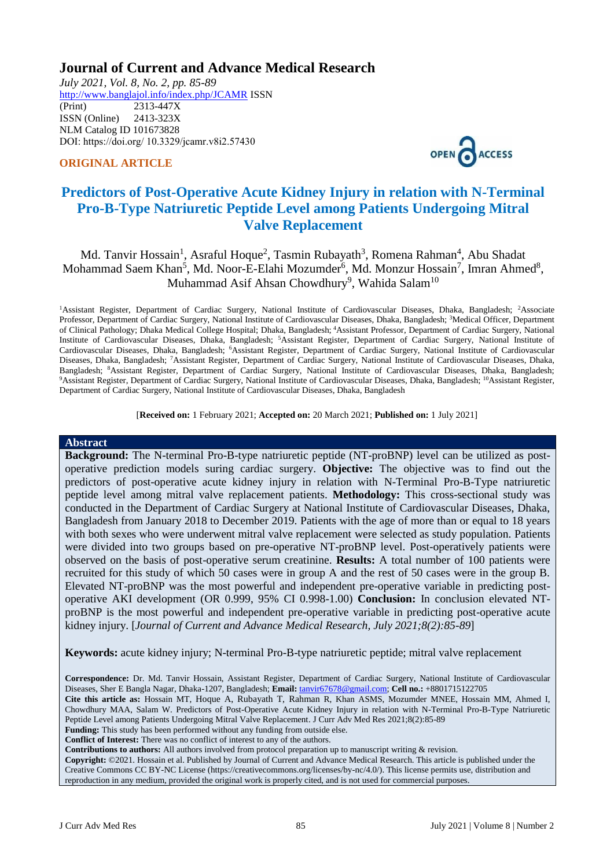## **Journal of Current and Advance Medical Research**

*July 2021, Vol. 8, No. 2, pp. 85-89* <http://www.banglajol.info/index.php/JCAMR>ISSN (Print) 2313-447X ISSN (Online) 2413-323X [NLM Catalog](https://www.ncbi.nlm.nih.gov/nlmcatalog/101673828) ID 101673828 DOI: https://doi.org/ 10.3329/jcamr.v8i2.57430





# **Predictors of Post-Operative Acute Kidney Injury in relation with N-Terminal Pro-B-Type Natriuretic Peptide Level among Patients Undergoing Mitral Valve Replacement**

Md. Tanvir Hossain<sup>1</sup>, Asraful Hoque<sup>2</sup>, Tasmin Rubayath<sup>3</sup>, Romena Rahman<sup>4</sup>, Abu Shadat Mohammad Saem Khan<sup>5</sup>, Md. Noor-E-Elahi Mozumder<sup>6</sup>, Md. Monzur Hossain<sup>7</sup>, Imran Ahmed<sup>8</sup>, Muhammad Asif Ahsan Chowdhury<sup>9</sup>, Wahida Salam $^{10}$ 

<sup>1</sup>Assistant Register, Department of Cardiac Surgery, National Institute of Cardiovascular Diseases, Dhaka, Bangladesh; <sup>2</sup>Associate Professor, Department of Cardiac Surgery, National Institute of Cardiovascular Diseases, Dhaka, Bangladesh; <sup>3</sup>Medical Officer, Department of Clinical Pathology; Dhaka Medical College Hospital; Dhaka, Bangladesh; <sup>4</sup>Assistant Professor, Department of Cardiac Surgery, National Institute of Cardiovascular Diseases, Dhaka, Bangladesh; <sup>5</sup>Assistant Register, Department of Cardiac Surgery, National Institute of Cardiovascular Diseases, Dhaka, Bangladesh; <sup>6</sup>Assistant Register, Department of Cardiac Surgery, National Institute of Cardiovascular Diseases, Dhaka, Bangladesh; <sup>7</sup>Assistant Register, Department of Cardiac Surgery, National Institute of Cardiovascular Diseases, Dhaka, Bangladesh; <sup>8</sup>Assistant Register, Department of Cardiac Surgery, National Institute of Cardiovascular Diseases, Dhaka, Bangladesh; <sup>9</sup>Assistant Register, Department of Cardiac Surgery, National Institute of Cardiovascular Diseases, Dhaka, Bangladesh; <sup>10</sup>Assistant Register, Department of Cardiac Surgery, National Institute of Cardiovascular Diseases, Dhaka, Bangladesh

[**Received on:** 1 February 2021; **Accepted on:** 20 March 2021; **Published on:** 1 July 2021]

#### **Abstract**

**Background:** The N-terminal Pro-B-type natriuretic peptide (NT-proBNP) level can be utilized as postoperative prediction models suring cardiac surgery. **Objective:** The objective was to find out the predictors of post-operative acute kidney injury in relation with N-Terminal Pro-B-Type natriuretic peptide level among mitral valve replacement patients. **Methodology:** This cross-sectional study was conducted in the Department of Cardiac Surgery at National Institute of Cardiovascular Diseases, Dhaka, Bangladesh from January 2018 to December 2019. Patients with the age of more than or equal to 18 years with both sexes who were underwent mitral valve replacement were selected as study population. Patients were divided into two groups based on pre-operative NT-proBNP level. Post-operatively patients were observed on the basis of post-operative serum creatinine. **Results:** A total number of 100 patients were recruited for this study of which 50 cases were in group A and the rest of 50 cases were in the group B. Elevated NT-proBNP was the most powerful and independent pre-operative variable in predicting postoperative AKI development (OR 0.999, 95% CI 0.998-1.00) **Conclusion:** In conclusion elevated NTproBNP is the most powerful and independent pre-operative variable in predicting post-operative acute kidney injury. [*Journal of Current and Advance Medical Research, July 2021;8(2):85-89*]

**Keywords:** acute kidney injury; N-terminal Pro-B-type natriuretic peptide; mitral valve replacement

**Correspondence:** Dr. Md. Tanvir Hossain, Assistant Register, Department of Cardiac Surgery, National Institute of Cardiovascular Diseases, Sher E Bangla Nagar, Dhaka-1207, Bangladesh; **Email:** [tanvir67678@gmail.com;](mailto:tanvir67678@gmail.com) **Cell no.:** +8801715122705 **Cite this article as:** Hossain MT, Hoque A, Rubayath T, Rahman R, Khan ASMS, Mozumder MNEE, Hossain MM, Ahmed I, Chowdhury MAA, Salam W. Predictors of Post-Operative Acute Kidney Injury in relation with N-Terminal Pro-B-Type Natriuretic Peptide Level among Patients Undergoing Mitral Valve Replacement. J Curr Adv Med Res 2021;8(2):85-89 **Funding:** This study has been performed without any funding from outside else.

**Conflict of Interest:** There was no conflict of interest to any of the authors.

**Contributions to authors:** All authors involved from protocol preparation up to manuscript writing & revision.

**Copyright:** ©2021. Hossain et al. Published by Journal of Current and Advance Medical Research. This article is published under the Creative Commons CC BY-NC License (https://creativecommons.org/licenses/by-nc/4.0/). This license permits use, distribution and reproduction in any medium, provided the original work is properly cited, and is not used for commercial purposes.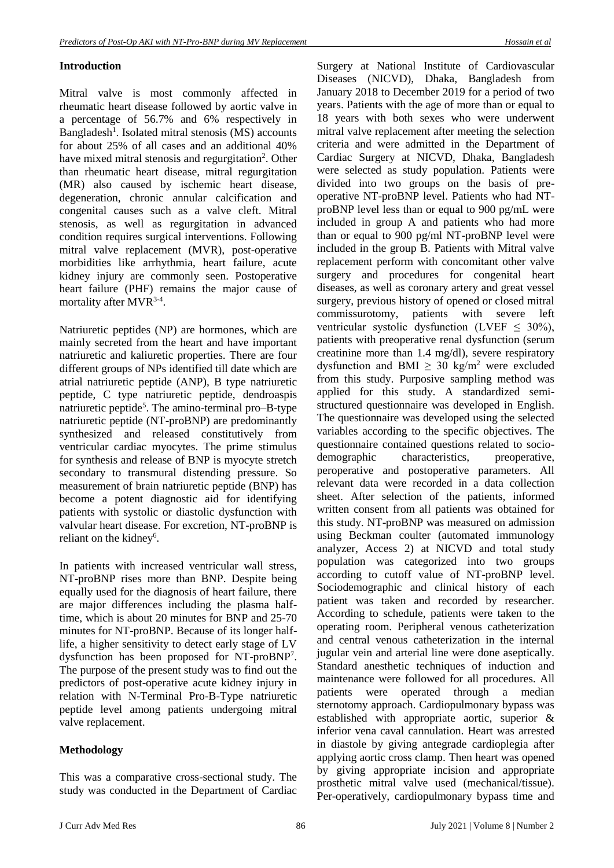### **Introduction**

Mitral valve is most commonly affected in rheumatic heart disease followed by aortic valve in a percentage of 56.7% and 6% respectively in Bangladesh<sup>1</sup>. Isolated mitral stenosis (MS) accounts for about 25% of all cases and an additional 40% have mixed mitral stenosis and regurgitation<sup>2</sup>. Other than rheumatic heart disease, mitral regurgitation (MR) also caused by ischemic heart disease, degeneration, chronic annular calcification and congenital causes such as a valve cleft. Mitral stenosis, as well as regurgitation in advanced condition requires surgical interventions. Following mitral valve replacement (MVR), post-operative morbidities like arrhythmia, heart failure, acute kidney injury are commonly seen. Postoperative heart failure (PHF) remains the major cause of mortality after MVR<sup>3-4</sup>.

Natriuretic peptides (NP) are hormones, which are mainly secreted from the heart and have important natriuretic and kaliuretic properties. There are four different groups of NPs identified till date which are atrial natriuretic peptide (ANP), B type natriuretic peptide, C type natriuretic peptide, dendroaspis natriuretic peptide<sup>5</sup>. The amino-terminal pro–B-type natriuretic peptide (NT-proBNP) are predominantly synthesized and released constitutively from ventricular cardiac myocytes. The prime stimulus for synthesis and release of BNP is myocyte stretch secondary to transmural distending pressure. So measurement of brain natriuretic peptide (BNP) has become a potent diagnostic aid for identifying patients with systolic or diastolic dysfunction with valvular heart disease. For excretion, NT-proBNP is reliant on the kidney<sup>6</sup>.

In patients with increased ventricular wall stress, NT-proBNP rises more than BNP. Despite being equally used for the diagnosis of heart failure, there are major differences including the plasma halftime, which is about 20 minutes for BNP and 25-70 minutes for NT-proBNP. Because of its longer halflife, a higher sensitivity to detect early stage of LV dysfunction has been proposed for NT-proBNP<sup>7</sup> . The purpose of the present study was to find out the predictors of post-operative acute kidney injury in relation with N-Terminal Pro-B-Type natriuretic peptide level among patients undergoing mitral valve replacement.

#### **Methodology**

This was a comparative cross-sectional study. The study was conducted in the Department of Cardiac

Surgery at National Institute of Cardiovascular Diseases (NICVD), Dhaka, Bangladesh from January 2018 to December 2019 for a period of two years. Patients with the age of more than or equal to 18 years with both sexes who were underwent mitral valve replacement after meeting the selection criteria and were admitted in the Department of Cardiac Surgery at NICVD, Dhaka, Bangladesh were selected as study population. Patients were divided into two groups on the basis of preoperative NT-proBNP level. Patients who had NTproBNP level less than or equal to 900 pg/mL were included in group A and patients who had more than or equal to 900 pg/ml NT-proBNP level were included in the group B. Patients with Mitral valve replacement perform with concomitant other valve surgery and procedures for congenital heart diseases, as well as coronary artery and great vessel surgery, previous history of opened or closed mitral commissurotomy, patients with severe left ventricular systolic dysfunction (LVEF  $\leq$  30%), patients with preoperative renal dysfunction (serum creatinine more than 1.4 mg/dl), severe respiratory dysfunction and BMI  $\geq$  30 kg/m<sup>2</sup> were excluded from this study. Purposive sampling method was applied for this study. A standardized semistructured questionnaire was developed in English. The questionnaire was developed using the selected variables according to the specific objectives. The questionnaire contained questions related to sociodemographic characteristics, preoperative, peroperative and postoperative parameters. All relevant data were recorded in a data collection sheet. After selection of the patients, informed written consent from all patients was obtained for this study. NT-proBNP was measured on admission using Beckman coulter (automated immunology analyzer, Access 2) at NICVD and total study population was categorized into two groups according to cutoff value of NT-proBNP level. Sociodemographic and clinical history of each patient was taken and recorded by researcher. According to schedule, patients were taken to the operating room. Peripheral venous catheterization and central venous catheterization in the internal jugular vein and arterial line were done aseptically. Standard anesthetic techniques of induction and maintenance were followed for all procedures. All patients were operated through a median sternotomy approach. Cardiopulmonary bypass was established with appropriate aortic, superior & inferior vena caval cannulation. Heart was arrested in diastole by giving antegrade cardioplegia after applying aortic cross clamp. Then heart was opened by giving appropriate incision and appropriate prosthetic mitral valve used (mechanical/tissue). Per-operatively, cardiopulmonary bypass time and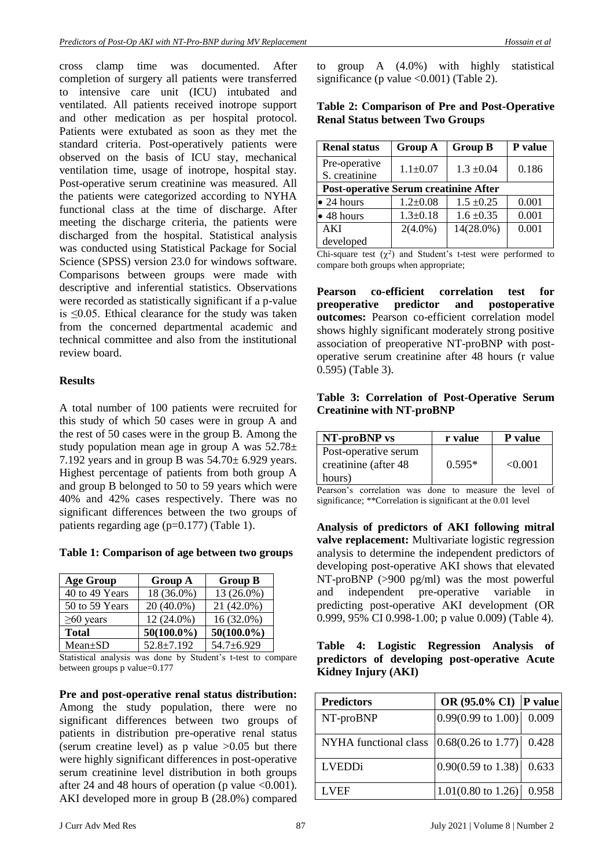cross clamp time was documented. After completion of surgery all patients were transferred to intensive care unit (ICU) intubated and ventilated. All patients received inotrope support and other medication as per hospital protocol. Patients were extubated as soon as they met the standard criteria. Post-operatively patients were observed on the basis of ICU stay, mechanical ventilation time, usage of inotrope, hospital stay. Post-operative serum creatinine was measured. All the patients were categorized according to NYHA functional class at the time of discharge. After meeting the discharge criteria, the patients were discharged from the hospital. Statistical analysis was conducted using Statistical Package for Social Science (SPSS) version 23.0 for windows software. Comparisons between groups were made with descriptive and inferential statistics. Observations were recorded as statistically significant if a p-value is ≤0.05. Ethical clearance for the study was taken from the concerned departmental academic and technical committee and also from the institutional review board.

#### **Results**

A total number of 100 patients were recruited for this study of which 50 cases were in group A and the rest of 50 cases were in the group B. Among the study population mean age in group A was  $52.78\pm$ 7.192 years and in group B was  $54.70 \pm 6.929$  years. Highest percentage of patients from both group A and group B belonged to 50 to 59 years which were 40% and 42% cases respectively. There was no significant differences between the two groups of patients regarding age (p=0.177) (Table 1).

**Table 1: Comparison of age between two groups** 

| <b>Age Group</b> | <b>Group A</b>   | <b>Group B</b> |
|------------------|------------------|----------------|
| 40 to 49 Years   | 18 (36.0%)       | 13 (26.0%)     |
| 50 to 59 Years   | 20 (40.0%)       | 21 (42.0%)     |
| $\geq 60$ years  | 12 (24.0%)       | 16 (32.0%)     |
| <b>Total</b>     | $50(100.0\%)$    | $50(100.0\%)$  |
| $Mean \pm SD$    | $52.8 \pm 7.192$ | 54.7±6.929     |

Statistical analysis was done by Student's t-test to compare between groups p value=0.177

**Pre and post-operative renal status distribution:**  Among the study population, there were no significant differences between two groups of patients in distribution pre-operative renal status (serum creatine level) as  $p$  value  $>0.05$  but there were highly significant differences in post-operative serum creatinine level distribution in both groups after 24 and 48 hours of operation (p value  $\leq 0.001$ ). AKI developed more in group B (28.0%) compared to group A (4.0%) with highly statistical significance (p value  $\langle 0.001 \rangle$  (Table 2).

#### **Table 2: Comparison of Pre and Post-Operative Renal Status between Two Groups**

| <b>Renal status</b>                          | <b>Group A</b> | <b>Group B</b> | P value |  |
|----------------------------------------------|----------------|----------------|---------|--|
| Pre-operative<br>S. creatinine               | $1.1 \pm 0.07$ | $1.3 \pm 0.04$ | 0.186   |  |
| <b>Post-operative Serum creatinine After</b> |                |                |         |  |
| $\bullet$ 24 hours                           | $1.2 \pm 0.08$ | $1.5 \pm 0.25$ | 0.001   |  |
| $\bullet$ 48 hours                           | $1.3 \pm 0.18$ | $1.6 \pm 0.35$ | 0.001   |  |
| AKI                                          | $2(4.0\%)$     | 14(28.0%)      | 0.001   |  |
| developed                                    |                |                |         |  |

Chi-square test  $(\chi^2)$  and Student's t-test were performed to compare both groups when appropriate;

**Pearson co-efficient correlation test for preoperative predictor and postoperative outcomes:** Pearson co-efficient correlation model shows highly significant moderately strong positive association of preoperative NT-proBNP with postoperative serum creatinine after 48 hours (r value 0.595) (Table 3).

#### **Table 3: Correlation of Post-Operative Serum Creatinine with NT-proBNP**

| NT-proBNP vs                                  | r value  | <b>P</b> value |
|-----------------------------------------------|----------|----------------|
| Post-operative serum<br>creatinine (after 48) | $0.595*$ | < 0.001        |
| hours)                                        |          |                |

Pearson's correlation was done to measure the level of significance; \*\*Correlation is significant at the 0.01 level

**Analysis of predictors of AKI following mitral valve replacement:** Multivariate logistic regression analysis to determine the independent predictors of developing post-operative AKI shows that elevated NT-proBNP (>900 pg/ml) was the most powerful and independent pre-operative variable in predicting post-operative AKI development (OR 0.999, 95% CI 0.998-1.00; p value 0.009) (Table 4).

|                     |  |  | Table 4: Logistic Regression Analysis of      |  |
|---------------------|--|--|-----------------------------------------------|--|
|                     |  |  | predictors of developing post-operative Acute |  |
| Kidney Injury (AKI) |  |  |                                               |  |

| <b>Predictors</b>     | OR $(95.0\% \text{ CI})$ P value |       |
|-----------------------|----------------------------------|-------|
| NT-proBNP             | $0.99(0.99 \text{ to } 1.00)$    | 0.009 |
| NYHA functional class | $0.68(0.26 \text{ to } 1.77)$    | 0.428 |
| <b>LVEDDi</b>         | $0.90(0.59 \text{ to } 1.38)$    | 0.633 |
| LVEF                  | $1.01(0.80 \text{ to } 1.26)$    | 0.958 |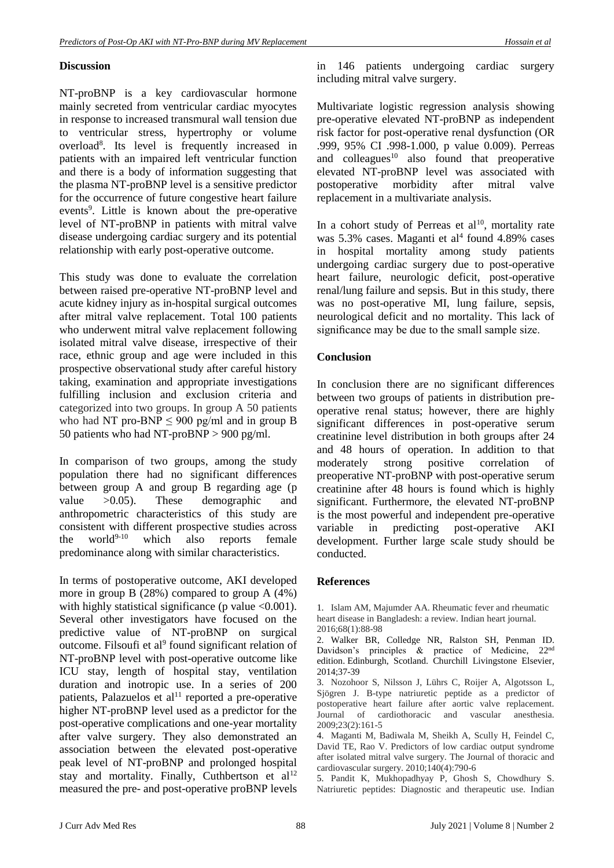#### **Discussion**

NT-proBNP is a key cardiovascular hormone mainly secreted from ventricular cardiac myocytes in response to increased transmural wall tension due to ventricular stress, hypertrophy or volume overload<sup>8</sup> . Its level is frequently increased in patients with an impaired left ventricular function and there is a body of information suggesting that the plasma NT-proBNP level is a sensitive predictor for the occurrence of future congestive heart failure events<sup>9</sup>. Little is known about the pre-operative level of NT-proBNP in patients with mitral valve disease undergoing cardiac surgery and its potential relationship with early post-operative outcome.

This study was done to evaluate the correlation between raised pre-operative NT-proBNP level and acute kidney injury as in-hospital surgical outcomes after mitral valve replacement. Total 100 patients who underwent mitral valve replacement following isolated mitral valve disease, irrespective of their race, ethnic group and age were included in this prospective observational study after careful history taking, examination and appropriate investigations fulfilling inclusion and exclusion criteria and categorized into two groups. In group A 50 patients who had NT pro-BNP  $\leq$  900 pg/ml and in group B 50 patients who had NT-proBNP > 900 pg/ml.

In comparison of two groups, among the study population there had no significant differences between group A and group B regarding age (p value >0.05). These demographic and anthropometric characteristics of this study are consistent with different prospective studies across the world $9-10$  which also reports female predominance along with similar characteristics.

In terms of postoperative outcome, AKI developed more in group B (28%) compared to group A (4%) with highly statistical significance (p value  $\leq 0.001$ ). Several other investigators have focused on the predictive value of NT-proBNP on surgical outcome. Filsoufi et al<sup>9</sup> found significant relation of NT-proBNP level with post-operative outcome like ICU stay, length of hospital stay, ventilation duration and inotropic use. In a series of 200 patients, Palazuelos et al<sup>11</sup> reported a pre-operative higher NT-proBNP level used as a predictor for the post-operative complications and one-year mortality after valve surgery. They also demonstrated an association between the elevated post-operative peak level of NT-proBNP and prolonged hospital stay and mortality. Finally, Cuthbertson et al<sup>12</sup> measured the pre- and post-operative proBNP levels

in 146 patients undergoing cardiac surgery including mitral valve surgery.

Multivariate logistic regression analysis showing pre-operative elevated NT-proBNP as independent risk factor for post-operative renal dysfunction (OR .999, 95% CI .998-1.000, p value 0.009). Perreas and colleagues $10$  also found that preoperative elevated NT-proBNP level was associated with postoperative morbidity after mitral valve replacement in a multivariate analysis.

In a cohort study of Perreas et al<sup>10</sup>, mortality rate was 5.3% cases. Maganti et al<sup>4</sup> found 4.89% cases in hospital mortality among study patients undergoing cardiac surgery due to post-operative heart failure, neurologic deficit, post-operative renal/lung failure and sepsis. But in this study, there was no post-operative MI, lung failure, sepsis, neurological deficit and no mortality. This lack of significance may be due to the small sample size.

#### **Conclusion**

In conclusion there are no significant differences between two groups of patients in distribution preoperative renal status; however, there are highly significant differences in post-operative serum creatinine level distribution in both groups after 24 and 48 hours of operation. In addition to that moderately strong positive correlation of preoperative NT-proBNP with post-operative serum creatinine after 48 hours is found which is highly significant. Furthermore, the elevated NT-proBNP is the most powerful and independent pre-operative variable in predicting post-operative AKI development. Further large scale study should be conducted.

#### **References**

1. Islam AM, Majumder AA. Rheumatic fever and rheumatic heart disease in Bangladesh: a review. Indian heart journal. 2016;68(1):88-98

2. Walker BR, Colledge NR, Ralston SH, Penman ID. Davidson's principles & practice of Medicine, 22nd edition. Edinburgh, Scotland. Churchill Livingstone Elsevier, 2014;37-39

3. Nozohoor S, Nilsson J, Lührs C, Roijer A, Algotsson L, Sjögren J. B-type natriuretic peptide as a predictor of postoperative heart failure after aortic valve replacement. Journal of cardiothoracic and vascular anesthesia. 2009;23(2):161-5

4. Maganti M, Badiwala M, Sheikh A, Scully H, Feindel C, David TE, Rao V. Predictors of low cardiac output syndrome after isolated mitral valve surgery. The Journal of thoracic and cardiovascular surgery. 2010;140(4):790-6

5. Pandit K, Mukhopadhyay P, Ghosh S, Chowdhury S. Natriuretic peptides: Diagnostic and therapeutic use. Indian